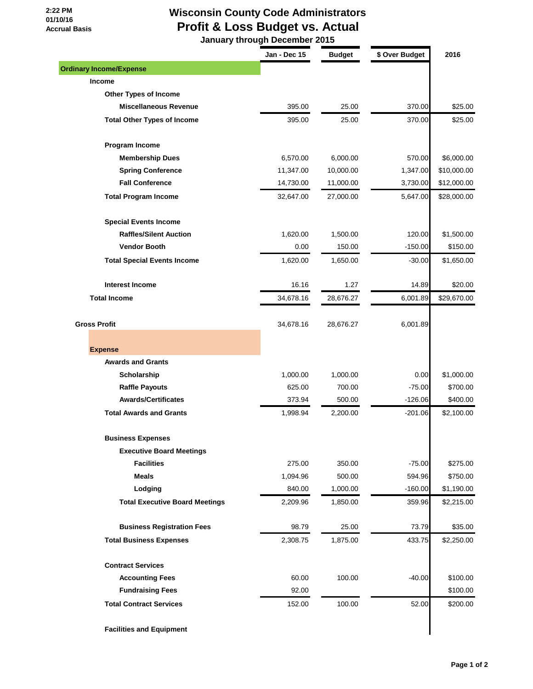## **2:22 PM 01/10/16 Accrual Basis**

## **Wisconsin County Code Administrators Profit & Loss Budget vs. Actual**

 **January through December 2015**

|                                       | Jan - Dec 15 | <b>Budget</b> | \$ Over Budget | 2016        |
|---------------------------------------|--------------|---------------|----------------|-------------|
| <b>Ordinary Income/Expense</b>        |              |               |                |             |
| Income                                |              |               |                |             |
| <b>Other Types of Income</b>          |              |               |                |             |
| <b>Miscellaneous Revenue</b>          | 395.00       | 25.00         | 370.00         | \$25.00     |
| <b>Total Other Types of Income</b>    | 395.00       | 25.00         | 370.00         | \$25.00     |
| Program Income                        |              |               |                |             |
| <b>Membership Dues</b>                | 6,570.00     | 6,000.00      | 570.00         | \$6,000.00  |
| <b>Spring Conference</b>              | 11,347.00    | 10,000.00     | 1,347.00       | \$10,000.00 |
| <b>Fall Conference</b>                | 14,730.00    | 11,000.00     | 3,730.00       | \$12,000.00 |
| <b>Total Program Income</b>           | 32,647.00    | 27,000.00     | 5,647.00       | \$28,000.00 |
| <b>Special Events Income</b>          |              |               |                |             |
| <b>Raffles/Silent Auction</b>         | 1,620.00     | 1,500.00      | 120.00         | \$1,500.00  |
| <b>Vendor Booth</b>                   | 0.00         | 150.00        | $-150.00$      | \$150.00    |
| <b>Total Special Events Income</b>    | 1,620.00     | 1,650.00      | $-30.00$       | \$1,650.00  |
| <b>Interest Income</b>                | 16.16        | 1.27          | 14.89          | \$20.00     |
| <b>Total Income</b>                   | 34,678.16    | 28,676.27     | 6,001.89       | \$29,670.00 |
|                                       |              |               |                |             |
| <b>Gross Profit</b>                   | 34,678.16    | 28,676.27     | 6,001.89       |             |
| <b>Expense</b>                        |              |               |                |             |
| <b>Awards and Grants</b>              |              |               |                |             |
| Scholarship                           | 1,000.00     | 1,000.00      | 0.00           | \$1,000.00  |
| <b>Raffle Payouts</b>                 | 625.00       | 700.00        | $-75.00$       | \$700.00    |
| <b>Awards/Certificates</b>            | 373.94       | 500.00        | $-126.06$      | \$400.00    |
| <b>Total Awards and Grants</b>        | 1,998.94     | 2,200.00      | $-201.06$      | \$2,100.00  |
| <b>Business Expenses</b>              |              |               |                |             |
| <b>Executive Board Meetings</b>       |              |               |                |             |
| <b>Facilities</b>                     | 275.00       | 350.00        | $-75.00$       | \$275.00    |
| <b>Meals</b>                          | 1,094.96     | 500.00        | 594.96         | \$750.00    |
| Lodging                               | 840.00       | 1,000.00      | $-160.00$      | \$1,190.00  |
| <b>Total Executive Board Meetings</b> | 2,209.96     | 1,850.00      | 359.96         | \$2,215.00  |
| <b>Business Registration Fees</b>     | 98.79        | 25.00         | 73.79          | \$35.00     |
| <b>Total Business Expenses</b>        | 2,308.75     | 1,875.00      | 433.75         | \$2,250.00  |
| <b>Contract Services</b>              |              |               |                |             |
| <b>Accounting Fees</b>                | 60.00        | 100.00        | $-40.00$       | \$100.00    |
| <b>Fundraising Fees</b>               | 92.00        |               |                | \$100.00    |
| <b>Total Contract Services</b>        | 152.00       | 100.00        | 52.00          | \$200.00    |
| <b>Facilities and Equipment</b>       |              |               |                |             |